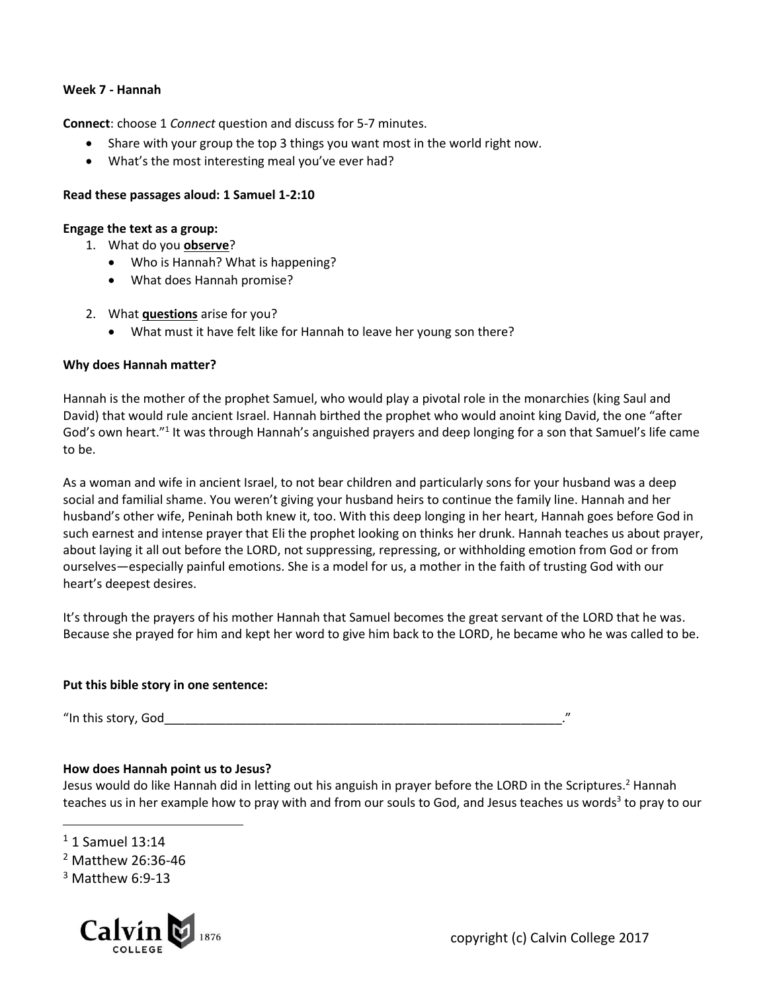#### **Week 7 - Hannah**

**Connect**: choose 1 *Connect* question and discuss for 5-7 minutes.

- Share with your group the top 3 things you want most in the world right now.
- What's the most interesting meal you've ever had?

#### **Read these passages aloud: 1 Samuel 1-2:10**

#### **Engage the text as a group:**

- 1. What do you **observe**?
	- Who is Hannah? What is happening?
	- What does Hannah promise?
- 2. What **questions** arise for you?
	- What must it have felt like for Hannah to leave her young son there?

#### **Why does Hannah matter?**

Hannah is the mother of the prophet Samuel, who would play a pivotal role in the monarchies (king Saul and David) that would rule ancient Israel. Hannah birthed the prophet who would anoint king David, the one "after God's own heart."<sup>1</sup> It was through Hannah's anguished prayers and deep longing for a son that Samuel's life came to be.

As a woman and wife in ancient Israel, to not bear children and particularly sons for your husband was a deep social and familial shame. You weren't giving your husband heirs to continue the family line. Hannah and her husband's other wife, Peninah both knew it, too. With this deep longing in her heart, Hannah goes before God in such earnest and intense prayer that Eli the prophet looking on thinks her drunk. Hannah teaches us about prayer, about laying it all out before the LORD, not suppressing, repressing, or withholding emotion from God or from ourselves—especially painful emotions. She is a model for us, a mother in the faith of trusting God with our heart's deepest desires.

It's through the prayers of his mother Hannah that Samuel becomes the great servant of the LORD that he was. Because she prayed for him and kept her word to give him back to the LORD, he became who he was called to be.

#### **Put this bible story in one sentence:**

"In this story, God $\,$ 

### **How does Hannah point us to Jesus?**

Jesus would do like Hannah did in letting out his anguish in prayer before the LORD in the Scriptures.<sup>2</sup> Hannah teaches us in her example how to pray with and from our souls to God, and Jesus teaches us words<sup>3</sup> to pray to our

<sup>1</sup> 1 Samuel 13:14

 $\overline{a}$ 

 $3$  Matthew 6:9-13



<sup>2</sup> Matthew 26:36-46